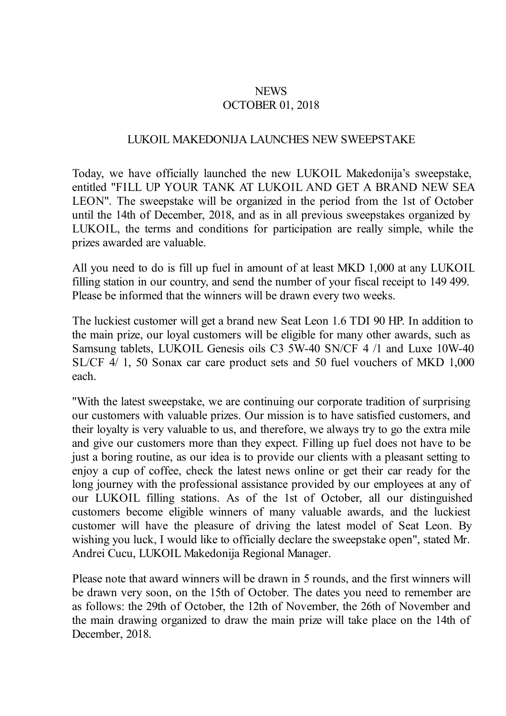## **NEWS** OCTOBER 01, 2018

## LUKOIL MAKEDONIJA LAUNCHES NEW SWEEPSTAKE

Today, we have officially launched the new LUKOIL Makedonija's sweepstake, entitled "FILL UP YOUR TANK AT LUKOIL AND GET A BRAND NEW SEAT LEON". The sweepstake will be organized in the period from the 1st of October until the 14th of December, 2018, and as in all previous sweepstakes organized by LUKOIL, the terms and conditions for participation are really simple, while the prizes awarded are valuable.

All you need to do is fill up fuel in amount of at least MKD 1,000 at any LUKOIL filling station in our country, and send the number of your fiscal receipt to 149 499. Please be informed that the winners will be drawn every two weeks.

The luckiest customer will get a brand new Seat Leon 1.6 TDI 90 HP. In addition to the main prize, our loyal customers will be eligible for many other awards, such as Samsung tablets, LUKOIL Genesis oils C3 5W-40 SN/CF 4 /1 and Luxe 10W-40, SL/CF 4/ 1, 50 Sonax car care product sets and 50 fuel vouchers of MKD 1,000 each.

"With the latest sweepstake, we are continuing our corporate tradition of surprising our customers with valuable prizes. Our mission is to have satisfied customers, and their loyalty is very valuable to us, and therefore, we always try to go the extra mile and give our customers more than they expect. Filling up fuel does not have to be just a boring routine, as our idea is to provide our clients with a pleasant setting to enjoy a cup of coffee, check the latest news online or get their car ready for the long journey with the professional assistance provided by our employees at any of our LUKOIL filling stations. As of the 1st of October, all our distinguished customers become eligible winners of many valuable awards, and the luckiest customer will have the pleasure of driving the latest model of Seat Leon. By wishing you luck, I would like to officially declare the sweepstake open", stated Mr. Andrei Cucu, LUKOIL Makedonija Regional Manager.

Please note that award winners will be drawn in 5 rounds, and the first winners will be drawn very soon, on the 15th of October. The dates you need to remember are as follows: the 29th of October, the 12th of November, the 26th of November and the main drawing organized to draw the main prize will take place on the 14th of December, 2018.